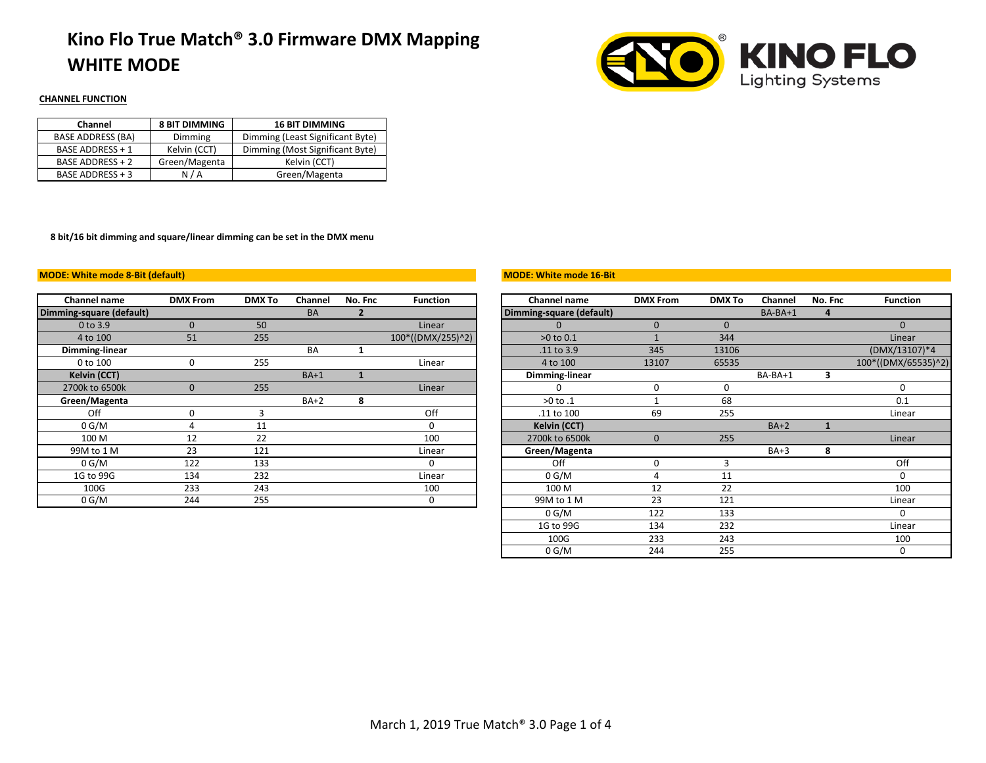# **Kino Flo True Match® 3.0 Firmware DMX Mapping WHITE MODE**



### **CHANNEL FUNCTION**

| Channel                  | <b>8 BIT DIMMING</b> | <b>16 BIT DIMMING</b>            |  |  |  |  |
|--------------------------|----------------------|----------------------------------|--|--|--|--|
| <b>BASE ADDRESS (BA)</b> | Dimming              | Dimming (Least Significant Byte) |  |  |  |  |
| <b>BASE ADDRESS + 1</b>  | Kelvin (CCT)         | Dimming (Most Significant Byte)  |  |  |  |  |
| <b>BASE ADDRESS + 2</b>  | Green/Magenta        | Kelvin (CCT)                     |  |  |  |  |
| BASE ADDRESS + 3         | N/A                  | Green/Magenta                    |  |  |  |  |

**8 bit/16 bit dimming and square/linear dimming can be set in the DMX menu**

#### **MODE: White mode 8-Bit (default)**

| Channel name             | <b>DMX From</b> | <b>DMX To</b> | Channel   | No. Fnc | <b>Function</b>   | Channel name             | <b>DMX From</b> | <b>DMX To</b> | Channel   | No. Fnc | <b>Funct</b> |
|--------------------------|-----------------|---------------|-----------|---------|-------------------|--------------------------|-----------------|---------------|-----------|---------|--------------|
| Dimming-square (default) |                 |               | <b>BA</b> |         |                   | Dimming-square (default) |                 |               | $BA-BA+1$ |         |              |
| 0 to 3.9                 |                 | 50            |           |         | Linear            |                          |                 |               |           |         |              |
| 4 to 100                 | 51              | 255           |           |         | 100*((DMX/255)^2) | $>0$ to $0.1$            |                 | 344           |           |         | Line         |
| Dimming-linear           |                 |               | BA        |         |                   | .11 to 3.9               | 345             | 13106         |           |         | (DMX/13)     |
| 0 to 100                 | 0               | 255           |           |         | Linear            | 4 to 100                 | 13107           | 65535         |           |         | 100*((DMX/   |
| <b>Kelvin (CCT)</b>      |                 |               | $BA+1$    |         |                   | Dimming-linear           |                 |               | BA-BA+1   | з       |              |
| 2700k to 6500k           | ŋ               | 255           |           |         | Linear            |                          |                 |               |           |         |              |
| Green/Magenta            |                 |               | $BA+2$    | 8       |                   | >0 to .1                 |                 | 68            |           |         | 0.1          |
| Off                      |                 |               |           |         | Off               | .11 to 100               | 69              | 255           |           |         | Line         |
| 0 G/M                    |                 | 11            |           |         |                   | <b>Kelvin (CCT)</b>      |                 |               | $BA+2$    |         |              |
| 100 M                    | 12              | 22            |           |         | 100               | 2700k to 6500k           | 0               | 255           |           |         | Line         |
| 99M to 1 M               | 23              | 121           |           |         | Linear            | Green/Magenta            |                 |               | $BA+3$    | 8       |              |
| 0 G/M                    | 122             | 133           |           |         | 0                 | Off                      |                 |               |           |         | Of           |
| 1G to 99G                | 134             | 232           |           |         | Linear            | 0 G/M                    |                 | 11            |           |         |              |
| 100G                     | 233             | 243           |           |         | 100               | 100 M                    | 12              | 22            |           |         | 10           |
| 0 G/M                    | 244             | 255           |           |         | 0                 | 99M to 1 M               | 23              | 121           |           |         | Line         |

#### **MODE: White mode 16-Bit**

| Channel name          | <b>DMX From</b> | <b>DMX To</b> | Channel   | No. Fnc | <b>Function</b>   | <b>Channel name</b>      | <b>DMX From</b> | <b>DMX To</b> | Channel | No. Fnc      | <b>Function</b>     |
|-----------------------|-----------------|---------------|-----------|---------|-------------------|--------------------------|-----------------|---------------|---------|--------------|---------------------|
| ning-square (default) |                 |               | <b>BA</b> |         |                   | Dimming-square (default) |                 |               | BA-BA+1 | 4            |                     |
| 0 to 3.9              | $\mathbf{0}$    | 50            |           |         | Linear            | $\Omega$                 | $\mathbf 0$     | $\mathbf{0}$  |         |              | $\Omega$            |
| 4 to 100              | 51              | 255           |           |         | 100*((DMX/255)^2) | $>0$ to $0.1$            |                 | 344           |         |              | Linear              |
| Dimming-linear        |                 |               | BA        | ш       |                   | .11 to 3.9               | 345             | 13106         |         |              | (DMX/13107)*4       |
| 0 to 100              | 0               | 255           |           |         | Linear            | 4 to 100                 | 13107           | 65535         |         |              | 100*((DMX/65535)^2) |
| Kelvin (CCT)          |                 |               | $BA+1$    |         |                   | Dimming-linear           |                 |               | BA-BA+1 | 3            |                     |
| 2700k to 6500k        | $\mathbf{0}$    | 255           |           |         | Linear            | <sup>0</sup>             | 0               | 0             |         |              | ŋ                   |
| Green/Magenta         |                 |               | $BA+2$    | 8       |                   | $>0$ to $.1$             |                 | 68            |         |              | 0.1                 |
| Off                   | 0               | 3             |           |         | Off               | .11 to 100               | 69              | 255           |         |              | Linear              |
| 0 G/M                 | 4               | 11            |           |         | 0                 | Kelvin (CCT)             |                 |               | $BA+2$  | $\mathbf{1}$ |                     |
| 100 M                 | 12              | 22            |           |         | 100               | 2700k to 6500k           | $\mathbf{0}$    | 255           |         |              | Linear              |
| 99M to 1 M            | 23              | 121           |           |         | Linear            | Green/Magenta            |                 |               | $BA+3$  | 8            |                     |
| 0 G/M                 | 122             | 133           |           |         | 0                 | Off                      | 0               |               |         |              | Off                 |
| 1G to 99G             | 134             | 232           |           |         | Linear            | 0 G/M                    | 4               | 11            |         |              |                     |
| 100G                  | 233             | 243           |           |         | 100               | 100 M                    | 12              | 22            |         |              | 100                 |
| 0 G/M                 | 244             | 255           |           |         | 0                 | 99M to 1 M               | 23              | 121           |         |              | Linear              |
|                       |                 |               |           |         |                   | 0 G/M                    | 122             | 133           |         |              | $\Omega$            |
|                       |                 |               |           |         |                   | 1G to 99G                | 134             | 232           |         |              | Linear              |
|                       |                 |               |           |         |                   | 100G                     | 233             | 243           |         |              | 100                 |
|                       |                 |               |           |         |                   | 0 G/M                    | 244             | 255           |         |              | 0                   |
|                       |                 |               |           |         |                   |                          |                 |               |         |              |                     |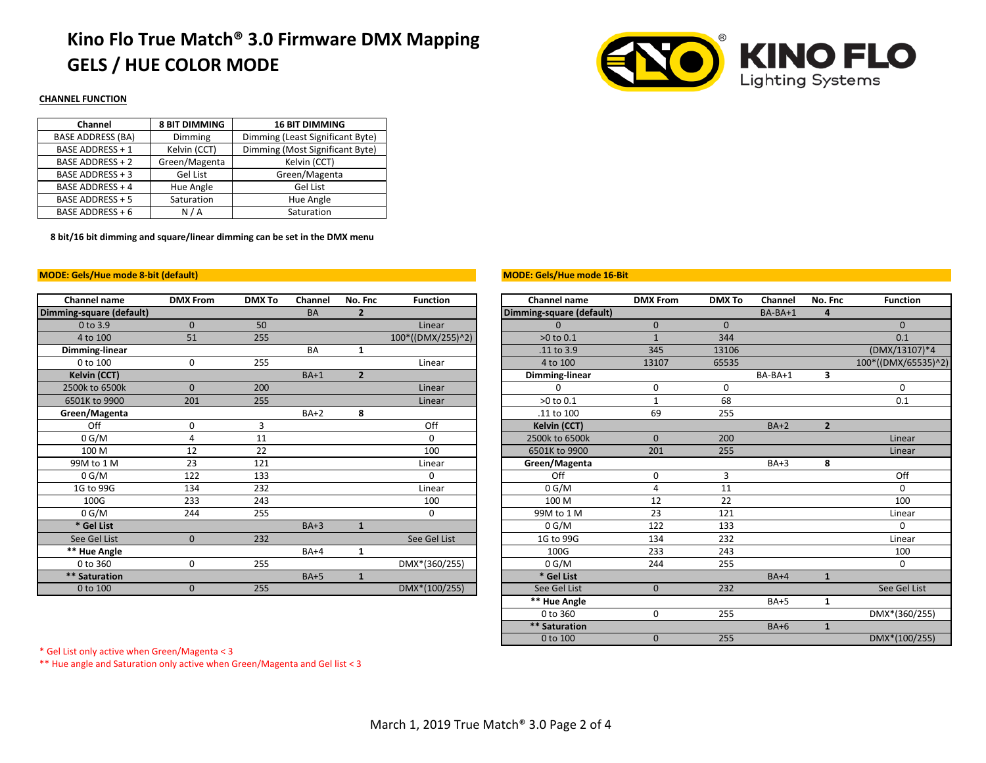# **Kino Flo True Match® 3.0 Firmware DMX Mapping GELS / HUE COLOR MODE**



### **CHANNEL FUNCTION**

| Channel                  | <b>8 BIT DIMMING</b> | <b>16 BIT DIMMING</b>            |  |  |  |  |
|--------------------------|----------------------|----------------------------------|--|--|--|--|
| <b>BASE ADDRESS (BA)</b> | Dimming              | Dimming (Least Significant Byte) |  |  |  |  |
| <b>BASE ADDRESS + 1</b>  | Kelvin (CCT)         | Dimming (Most Significant Byte)  |  |  |  |  |
| <b>BASE ADDRESS + 2</b>  | Green/Magenta        | Kelvin (CCT)                     |  |  |  |  |
| BASE ADDRESS + 3         | Gel List             | Green/Magenta                    |  |  |  |  |
| <b>BASE ADDRESS + 4</b>  | Hue Angle            | Gel List                         |  |  |  |  |
| BASE ADDRESS + 5         | Saturation           | Hue Angle                        |  |  |  |  |
| BASE ADDRESS + 6         | N/A                  | Saturation                       |  |  |  |  |

**8 bit/16 bit dimming and square/linear dimming can be set in the DMX menu**

### **MODE: Gels/Hue mode 8-bit (default)**

| Channel name             | <b>DMX From</b> | <b>DMX To</b> | Channel   | No. Fnc        | <b>Function</b>   | Channel name             | <b>DMX From</b> | <b>DMX To</b> | <b>Channel</b> | No. Fnc        | <b>Funct</b> |
|--------------------------|-----------------|---------------|-----------|----------------|-------------------|--------------------------|-----------------|---------------|----------------|----------------|--------------|
| Dimming-square (default) |                 |               | <b>BA</b> | $\overline{2}$ |                   | Dimming-square (default) |                 |               | $BA-BA+1$      |                |              |
| 0 to 3.9                 | $\mathbf{0}$    | 50            |           |                | Linear            |                          | $\mathbf{0}$    | $\mathbf{0}$  |                |                | $\Omega$     |
| 4 to 100                 | 51              | 255           |           |                | 100*((DMX/255)^2) | $>0$ to $0.1$            |                 | 344           |                |                | 0.1          |
| Dimming-linear           |                 |               | <b>BA</b> | 1              |                   | .11 to 3.9               | 345             | 13106         |                |                | (DMX/13)     |
| 0 to 100                 | 0               | 255           |           |                | Linear            | 4 to 100                 | 13107           | 65535         |                |                | 100*((DMX/   |
| Kelvin (CCT)             |                 |               | $BA+1$    | $\overline{2}$ |                   | Dimming-linear           |                 |               | BA-BA+1        | 3              |              |
| 2500k to 6500k           | $\Omega$        | 200           |           |                | Linear            |                          | 0               | 0             |                |                | 0            |
| 6501K to 9900            | 201             | 255           |           |                | Linear            | >0 to 0.1                |                 | 68            |                |                | 0.1          |
| Green/Magenta            |                 |               | $BA+2$    | 8              |                   | .11 to 100               | 69              | 255           |                |                |              |
| Off                      | 0               |               |           |                | Off               | Kelvin (CCT)             |                 |               | $BA+2$         | $\overline{2}$ |              |
| 0 G/M                    |                 | 11            |           |                | 0                 | 2500k to 6500k           | $\Omega$        | 200           |                |                | Line         |
| 100 M                    | 12              | 22            |           |                | 100               | 6501K to 9900            | 201             | 255           |                |                | Line         |
| 99M to 1 M               | 23              | 121           |           |                | Linear            | Green/Magenta            |                 |               | $BA+3$         | 8              |              |
| 0 G/M                    | 122             | 133           |           |                | 0                 | Off                      | 0               | 3             |                |                | Of           |
| 1G to 99G                | 134             | 232           |           |                | Linear            | 0 G/M                    | 4               | 11            |                |                | 0            |
| 100G                     | 233             | 243           |           |                | 100               | 100 M                    | 12              | 22            |                |                | 10           |
| 0 G/M                    | 244             | 255           |           |                | 0                 | 99M to 1 M               | 23              | 121           |                |                | Line         |
| * Gel List               |                 |               | $BA+3$    | 1              |                   | 0 G/M                    | 122             | 133           |                |                | 0            |
| See Gel List             | $\mathbf{0}$    | 232           |           |                | See Gel List      | 1G to 99G                | 134             | 232           |                |                | Line         |
| ** Hue Angle             |                 |               | $BA+4$    | 1              |                   | 100G                     | 233             | 243           |                |                | 10           |
| 0 to 360                 | 0               | 255           |           |                | DMX*(360/255)     | 0 G/M                    | 244             | 255           |                |                | $\Omega$     |
| ** Saturation            |                 |               | $BA+5$    | 1              |                   | * Gel List               |                 |               | $BA+4$         | 1              |              |
| 0 to 100                 | $\Omega$        | 255           |           |                | DMX*(100/255)     | See Gel List             | $\Omega$        | 232           |                |                | See Ge       |
|                          |                 |               |           |                |                   |                          |                 |               |                |                |              |

#### **MODE: Gels/Hue mode 16-Bit**

| <b>Channel name</b>   | <b>DMX From</b> | <b>DMX To</b> | Channel   | No. Fnc        | <b>Function</b>   | Channel name             | <b>DMX From</b> | <b>DMX To</b>    | Channel | No. Fnc        | <b>Function</b>     |
|-----------------------|-----------------|---------------|-----------|----------------|-------------------|--------------------------|-----------------|------------------|---------|----------------|---------------------|
| ning-square (default) |                 |               | <b>BA</b> | $\overline{2}$ |                   | Dimming-square (default) |                 |                  | BA-BA+1 | 4              |                     |
| 0 to 3.9              | $\mathbf{0}$    | 50            |           |                | Linear            |                          | $\mathbf{0}$    | $\mathbf{0}$     |         |                | $\mathbf{0}$        |
| 4 to 100              | 51              | 255           |           |                | 100*((DMX/255)^2) | >0 to 0.1                |                 | 344              |         |                | 0.1                 |
| Dimming-linear        |                 |               | <b>BA</b> | $\mathbf{1}$   |                   | .11 to 3.9               | 345             | 13106            |         |                | (DMX/13107)*4       |
| 0 to 100              | $\mathbf 0$     | 255           |           |                | Linear            | 4 to 100                 | 13107           | 65535            |         |                | 100*((DMX/65535)^2) |
| <b>Kelvin (CCT)</b>   |                 |               | $BA+1$    | $\overline{2}$ |                   | Dimming-linear           |                 |                  | BA-BA+1 | 3              |                     |
| 2500k to 6500k        | $\mathbf{0}$    | 200           |           |                | Linear            | $\Omega$                 | 0               | 0                |         |                | 0                   |
| 6501K to 9900         | 201             | 255           |           |                | Linear            | >0 to 0.1                |                 | 68               |         |                | 0.1                 |
| Green/Magenta         |                 |               | $BA+2$    | 8              |                   | .11 to 100               | 69              | 255              |         |                |                     |
| Off                   | 0               | 3             |           |                | Off               | <b>Kelvin (CCT)</b>      |                 |                  | $BA+2$  | $\overline{2}$ |                     |
| 0 G/M                 | 4               | 11            |           |                | 0                 | 2500k to 6500k           | $\mathbf{0}$    | 200              |         |                | Linear              |
| 100 M                 | 12              | 22            |           |                | 100               | 6501K to 9900            | 201             | 255              |         |                | Linear              |
| 99M to 1 M            | 23              | 121           |           |                | Linear            | Green/Magenta            |                 |                  | $BA+3$  | 8              |                     |
| 0 G/M                 | 122             | 133           |           |                | 0                 | Off                      | 0               | 3                |         |                | Off                 |
| 1G to 99G             | 134             | 232           |           |                | Linear            | 0 G/M                    | 4               | 11               |         |                | $\Omega$            |
| 100G                  | 233             | 243           |           |                | 100               | 100 M                    | 12              | 22               |         |                | 100                 |
| 0 G/M                 | 244             | 255           |           |                | 0                 | 99M to 1 M               | 23              | 121              |         |                | Linear              |
| * Gel List            |                 |               | $BA+3$    | $\mathbf{1}$   |                   | 0 G/M                    | 122             | 133              |         |                | $\Omega$            |
| See Gel List          | $\mathbf{0}$    | 232           |           |                | See Gel List      | 1G to 99G                | 134             | $23\overline{2}$ |         |                | Linear              |
| ** Hue Angle          |                 |               | $BA+4$    | 1              |                   | 100G                     | 233             | 243              |         |                | 100                 |
| 0 to 360              | 0               | 255           |           |                | DMX*(360/255)     | 0 G/M                    | 244             | 255              |         |                | 0                   |
| ** Saturation         |                 |               | $BA+5$    | 1              |                   | * Gel List               |                 |                  | $BA+4$  | $\mathbf{1}$   |                     |
| 0 to 100              | $\Omega$        | 255           |           |                | DMX*(100/255)     | See Gel List             | $\Omega$        | 232              |         |                | See Gel List        |
|                       |                 |               |           |                |                   | ** Hue Angle             |                 |                  | $BA+5$  | 1              |                     |
|                       |                 |               |           |                |                   | 0 to 360                 | 0               | 255              |         |                | DMX*(360/255)       |
|                       |                 |               |           |                |                   | ** Saturation            |                 |                  | $BA+6$  | $\mathbf{1}$   |                     |
|                       |                 |               |           |                |                   | 0 to 100                 | $\mathbf{0}$    | 255              |         |                | DMX*(100/255)       |

\* Gel List only active when Green/Magenta < 3

\*\* Hue angle and Saturation only active when Green/Magenta and Gel list < 3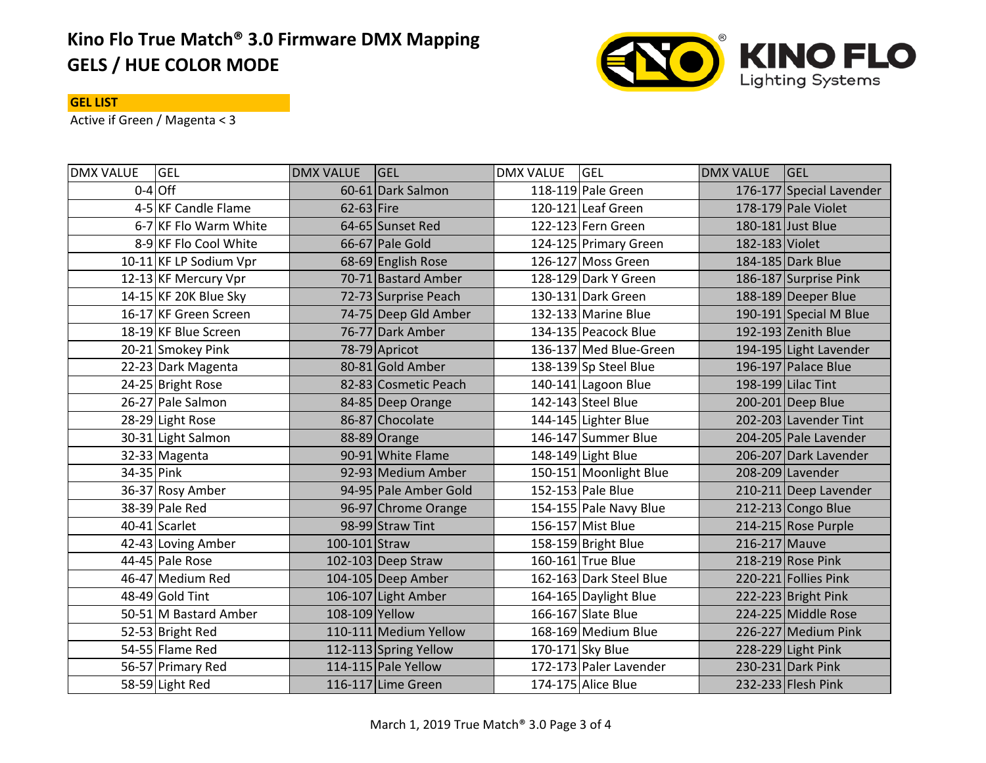# **Kino Flo True Match® 3.0 Firmware DMX Mapping GELS / HUE COLOR MODE**



## **GEL LIST**

Active if Green / Magenta < 3

| <b>DMX VALUE</b> | <b>GEL</b>             | <b>DMX VALUE</b> | <b>GEL</b>            | <b>DMX VALUE</b> | <b>GEL</b>              | <b>DMX VALUE</b> | <b>GEL</b>               |
|------------------|------------------------|------------------|-----------------------|------------------|-------------------------|------------------|--------------------------|
|                  | $0-4$ Off              |                  | 60-61 Dark Salmon     |                  | 118-119 Pale Green      |                  | 176-177 Special Lavender |
|                  | 4-5 KF Candle Flame    | $62-63$ Fire     |                       |                  | 120-121 Leaf Green      |                  | 178-179 Pale Violet      |
|                  | 6-7 KF Flo Warm White  |                  | 64-65 Sunset Red      |                  | 122-123 Fern Green      |                  | 180-181 Just Blue        |
|                  | 8-9 KF Flo Cool White  |                  | 66-67 Pale Gold       |                  | 124-125 Primary Green   | 182-183 Violet   |                          |
|                  | 10-11 KF LP Sodium Vpr |                  | 68-69 English Rose    |                  | 126-127 Moss Green      |                  | 184-185 Dark Blue        |
|                  | 12-13 KF Mercury Vpr   |                  | 70-71 Bastard Amber   |                  | 128-129 Dark Y Green    |                  | 186-187 Surprise Pink    |
|                  | 14-15 KF 20K Blue Sky  |                  | 72-73 Surprise Peach  |                  | 130-131 Dark Green      |                  | 188-189 Deeper Blue      |
|                  | 16-17 KF Green Screen  |                  | 74-75 Deep Gld Amber  |                  | 132-133 Marine Blue     |                  | 190-191 Special M Blue   |
|                  | 18-19 KF Blue Screen   |                  | 76-77 Dark Amber      |                  | 134-135 Peacock Blue    |                  | 192-193 Zenith Blue      |
|                  | 20-21 Smokey Pink      |                  | 78-79 Apricot         |                  | 136-137 Med Blue-Green  |                  | 194-195 Light Lavender   |
|                  | 22-23 Dark Magenta     |                  | 80-81 Gold Amber      |                  | 138-139 Sp Steel Blue   |                  | 196-197 Palace Blue      |
|                  | 24-25 Bright Rose      |                  | 82-83 Cosmetic Peach  |                  | 140-141 Lagoon Blue     |                  | 198-199 Lilac Tint       |
|                  | 26-27 Pale Salmon      |                  | 84-85 Deep Orange     |                  | 142-143 Steel Blue      |                  | 200-201 Deep Blue        |
|                  | 28-29 Light Rose       |                  | 86-87 Chocolate       |                  | 144-145 Lighter Blue    |                  | 202-203 Lavender Tint    |
|                  | 30-31 Light Salmon     |                  | 88-89 Orange          |                  | 146-147 Summer Blue     |                  | 204-205 Pale Lavender    |
|                  | 32-33 Magenta          |                  | 90-91 White Flame     |                  | 148-149 Light Blue      |                  | 206-207 Dark Lavender    |
| 34-35 Pink       |                        |                  | 92-93 Medium Amber    |                  | 150-151 Moonlight Blue  |                  | 208-209 Lavender         |
|                  | 36-37 Rosy Amber       |                  | 94-95 Pale Amber Gold |                  | 152-153 Pale Blue       |                  | 210-211 Deep Lavender    |
|                  | 38-39 Pale Red         |                  | 96-97 Chrome Orange   |                  | 154-155 Pale Navy Blue  |                  | 212-213 Congo Blue       |
|                  | 40-41 Scarlet          |                  | 98-99 Straw Tint      |                  | 156-157 Mist Blue       |                  | 214-215 Rose Purple      |
|                  | 42-43 Loving Amber     | 100-101 Straw    |                       |                  | 158-159 Bright Blue     | 216-217 Mauve    |                          |
|                  | 44-45 Pale Rose        |                  | 102-103 Deep Straw    |                  | 160-161 True Blue       |                  | 218-219 Rose Pink        |
|                  | 46-47 Medium Red       |                  | 104-105 Deep Amber    |                  | 162-163 Dark Steel Blue |                  | 220-221 Follies Pink     |
|                  | 48-49 Gold Tint        |                  | 106-107 Light Amber   |                  | 164-165 Daylight Blue   |                  | 222-223 Bright Pink      |
|                  | 50-51 M Bastard Amber  | 108-109 Yellow   |                       |                  | 166-167 Slate Blue      |                  | 224-225 Middle Rose      |
|                  | 52-53 Bright Red       |                  | 110-111 Medium Yellow |                  | 168-169 Medium Blue     |                  | 226-227 Medium Pink      |
|                  | 54-55 Flame Red        |                  | 112-113 Spring Yellow |                  | 170-171 Sky Blue        |                  | 228-229 Light Pink       |
|                  | 56-57 Primary Red      |                  | 114-115 Pale Yellow   |                  | 172-173 Paler Lavender  |                  | 230-231 Dark Pink        |
|                  | 58-59 Light Red        |                  | 116-117 Lime Green    |                  | 174-175 Alice Blue      |                  | 232-233 Flesh Pink       |